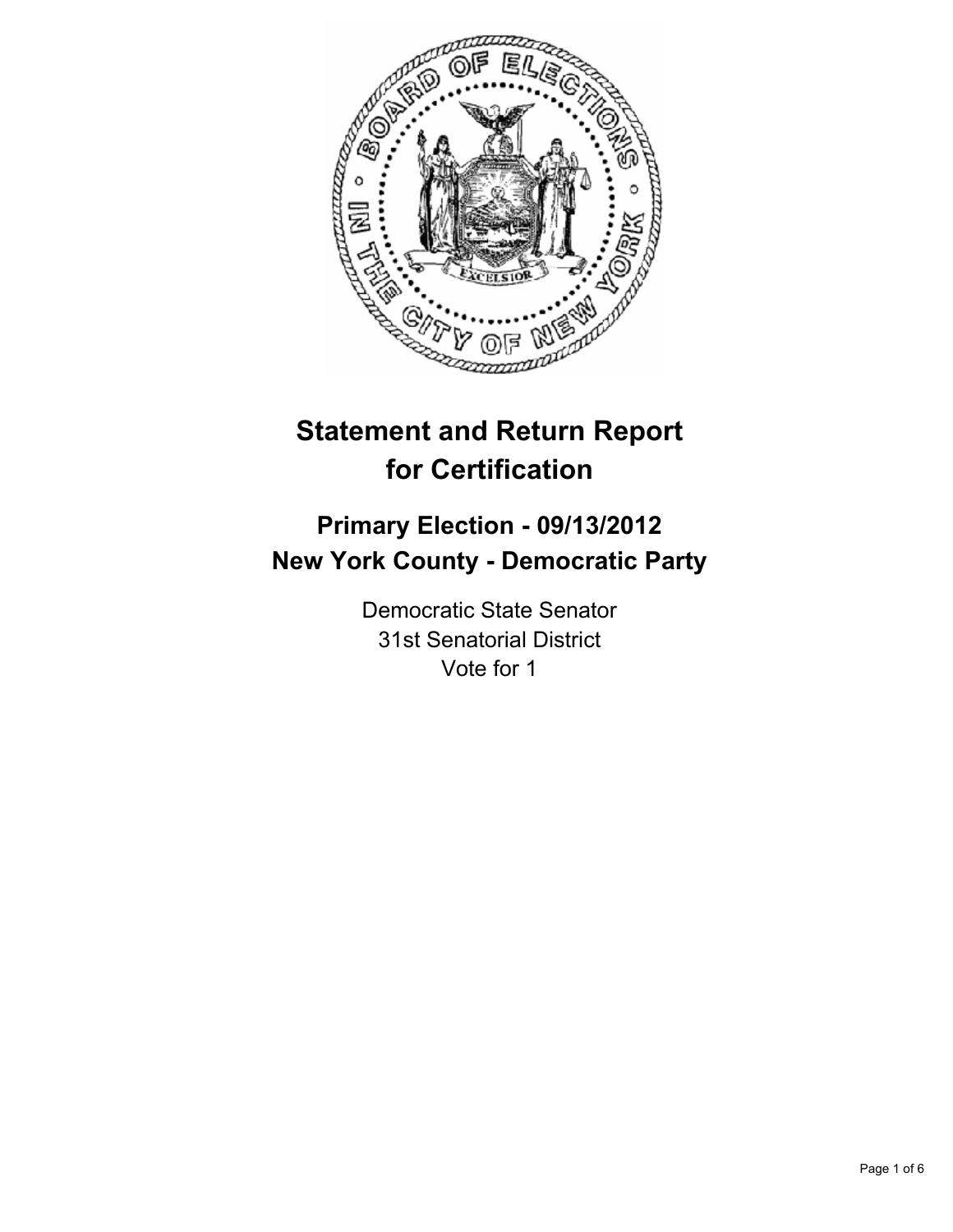

# **Statement and Return Report for Certification**

# **Primary Election - 09/13/2012 New York County - Democratic Party**

Democratic State Senator 31st Senatorial District Vote for 1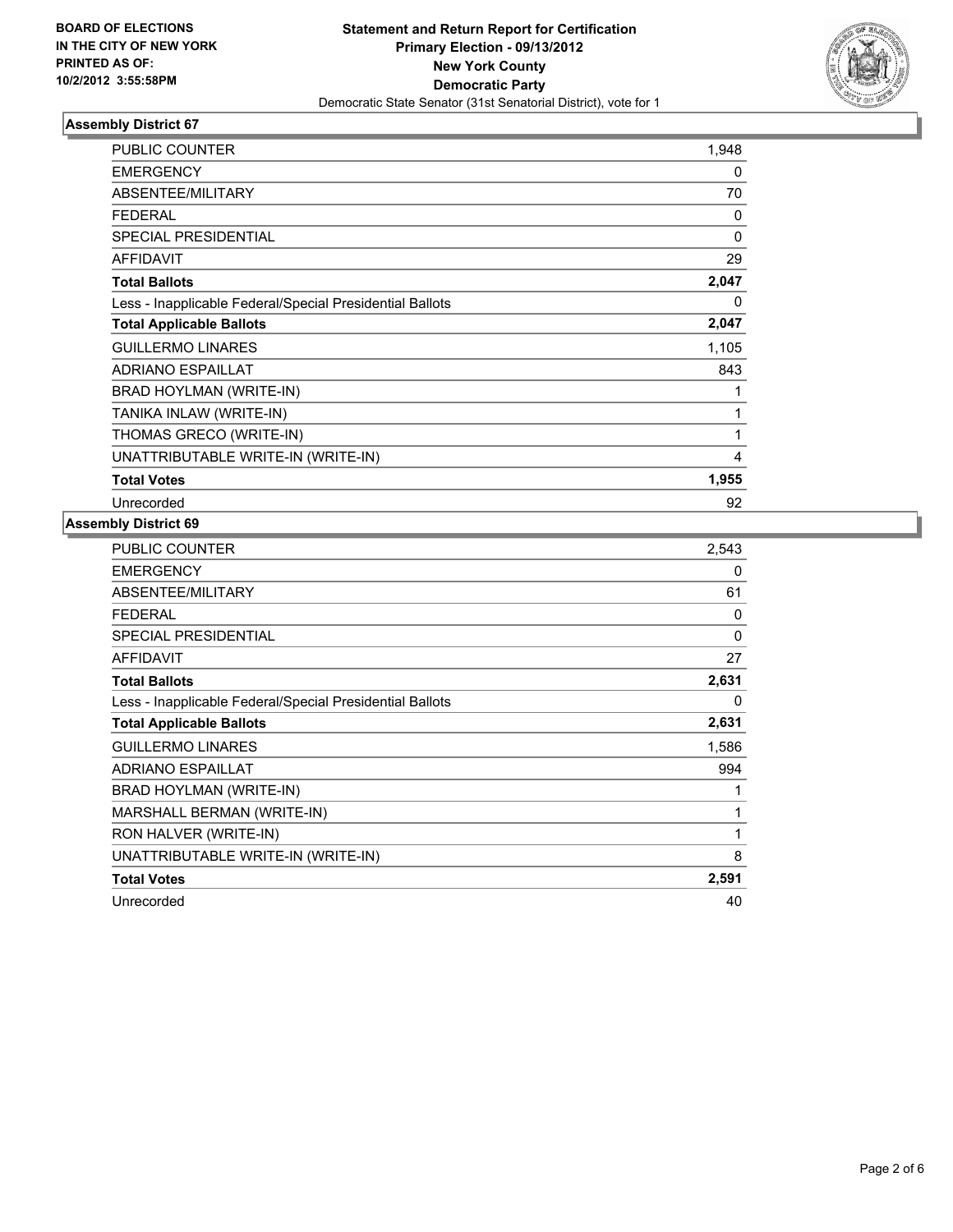

# **Assembly District 67**

| <b>PUBLIC COUNTER</b>                                    | 1,948    |
|----------------------------------------------------------|----------|
| <b>EMERGENCY</b>                                         | 0        |
| ABSENTEE/MILITARY                                        | 70       |
| <b>FEDERAL</b>                                           | 0        |
| <b>SPECIAL PRESIDENTIAL</b>                              | $\Omega$ |
| <b>AFFIDAVIT</b>                                         | 29       |
| <b>Total Ballots</b>                                     | 2,047    |
| Less - Inapplicable Federal/Special Presidential Ballots | 0        |
| <b>Total Applicable Ballots</b>                          | 2,047    |
| <b>GUILLERMO LINARES</b>                                 | 1,105    |
| <b>ADRIANO ESPAILLAT</b>                                 | 843      |
| BRAD HOYLMAN (WRITE-IN)                                  | 1        |
| TANIKA INLAW (WRITE-IN)                                  | 1        |
| THOMAS GRECO (WRITE-IN)                                  | 1        |
| UNATTRIBUTABLE WRITE-IN (WRITE-IN)                       | 4        |
| <b>Total Votes</b>                                       | 1,955    |
| Unrecorded                                               | 92       |

# **Assembly District 69**

| PUBLIC COUNTER                                           | 2,543 |
|----------------------------------------------------------|-------|
| <b>EMERGENCY</b>                                         | 0     |
| ABSENTEE/MILITARY                                        | 61    |
| <b>FEDERAL</b>                                           | 0     |
| <b>SPECIAL PRESIDENTIAL</b>                              | 0     |
| <b>AFFIDAVIT</b>                                         | 27    |
| <b>Total Ballots</b>                                     | 2,631 |
| Less - Inapplicable Federal/Special Presidential Ballots | 0     |
| <b>Total Applicable Ballots</b>                          | 2,631 |
| <b>GUILLERMO LINARES</b>                                 | 1,586 |
| <b>ADRIANO ESPAILLAT</b>                                 | 994   |
| BRAD HOYLMAN (WRITE-IN)                                  | 1     |
| MARSHALL BERMAN (WRITE-IN)                               | 1     |
| RON HALVER (WRITE-IN)                                    | 1     |
| UNATTRIBUTABLE WRITE-IN (WRITE-IN)                       | 8     |
| <b>Total Votes</b>                                       | 2,591 |
| Unrecorded                                               | 40    |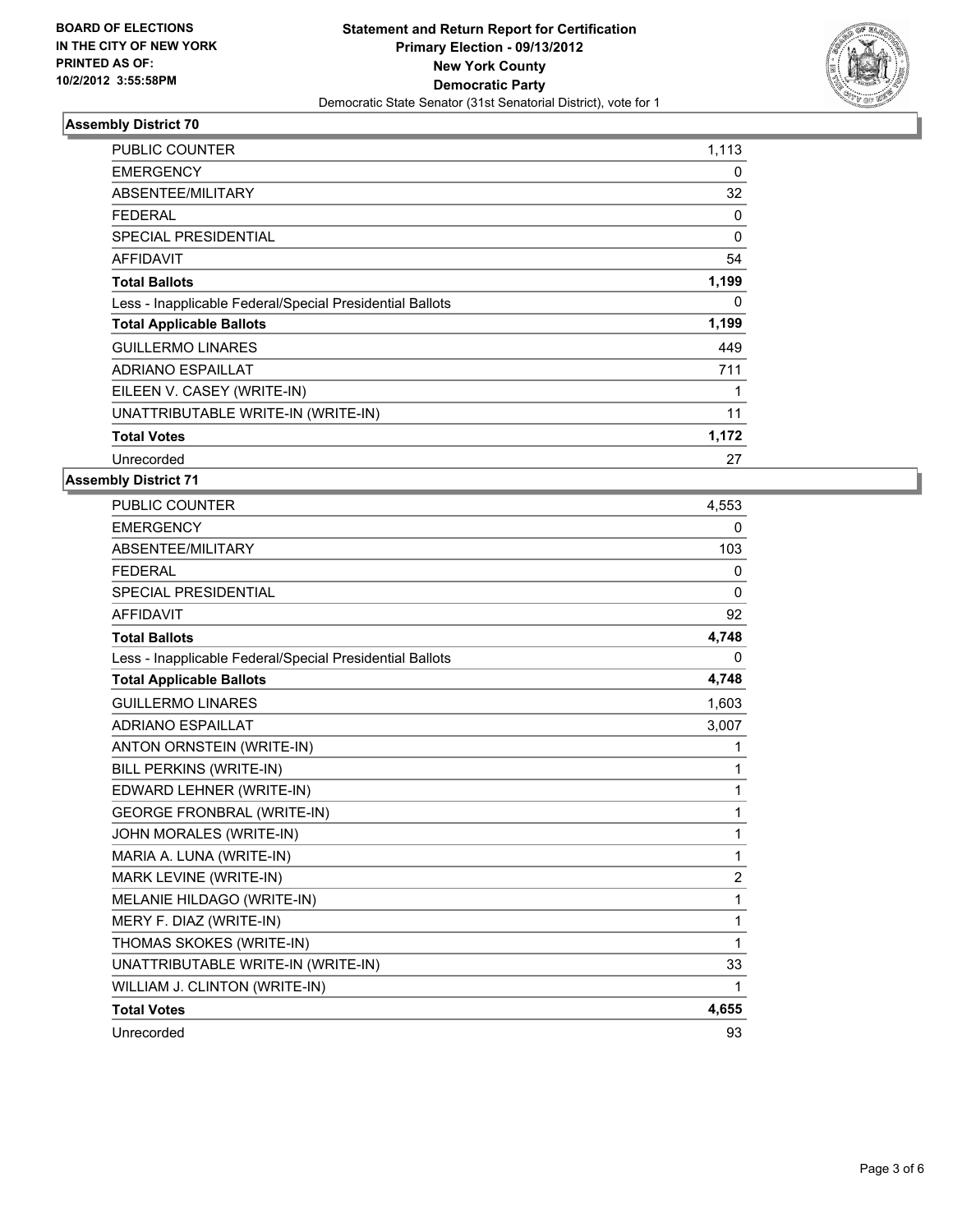

# **Assembly District 70**

| <b>PUBLIC COUNTER</b>                                    | 1,113    |
|----------------------------------------------------------|----------|
| <b>EMERGENCY</b>                                         | 0        |
| ABSENTEE/MILITARY                                        | 32       |
| <b>FEDERAL</b>                                           | 0        |
| <b>SPECIAL PRESIDENTIAL</b>                              | $\Omega$ |
| <b>AFFIDAVIT</b>                                         | 54       |
| <b>Total Ballots</b>                                     | 1,199    |
| Less - Inapplicable Federal/Special Presidential Ballots | 0        |
| <b>Total Applicable Ballots</b>                          | 1,199    |
| <b>GUILLERMO LINARES</b>                                 | 449      |
| <b>ADRIANO ESPAILLAT</b>                                 | 711      |
| EILEEN V. CASEY (WRITE-IN)                               |          |
| UNATTRIBUTABLE WRITE-IN (WRITE-IN)                       | 11       |
| <b>Total Votes</b>                                       | 1,172    |
| Unrecorded                                               | 27       |

#### **Assembly District 71**

| <b>PUBLIC COUNTER</b>                                    | 4,553          |
|----------------------------------------------------------|----------------|
| <b>EMERGENCY</b>                                         | $\mathbf{0}$   |
| ABSENTEE/MILITARY                                        | 103            |
| <b>FEDERAL</b>                                           | $\mathbf{0}$   |
| <b>SPECIAL PRESIDENTIAL</b>                              | $\mathbf{0}$   |
| <b>AFFIDAVIT</b>                                         | 92             |
| <b>Total Ballots</b>                                     | 4,748          |
| Less - Inapplicable Federal/Special Presidential Ballots | 0              |
| <b>Total Applicable Ballots</b>                          | 4,748          |
| <b>GUILLERMO LINARES</b>                                 | 1,603          |
| <b>ADRIANO ESPAILLAT</b>                                 | 3,007          |
| ANTON ORNSTEIN (WRITE-IN)                                | 1              |
| BILL PERKINS (WRITE-IN)                                  | 1              |
| EDWARD LEHNER (WRITE-IN)                                 | 1              |
| <b>GEORGE FRONBRAL (WRITE-IN)</b>                        | 1              |
| JOHN MORALES (WRITE-IN)                                  | 1              |
| MARIA A. LUNA (WRITE-IN)                                 | 1              |
| MARK LEVINE (WRITE-IN)                                   | $\overline{2}$ |
| MELANIE HILDAGO (WRITE-IN)                               | 1              |
| MERY F. DIAZ (WRITE-IN)                                  | 1              |
| THOMAS SKOKES (WRITE-IN)                                 | 1              |
| UNATTRIBUTABLE WRITE-IN (WRITE-IN)                       | 33             |
| WILLIAM J. CLINTON (WRITE-IN)                            | 1              |
| <b>Total Votes</b>                                       | 4,655          |
| Unrecorded                                               | 93             |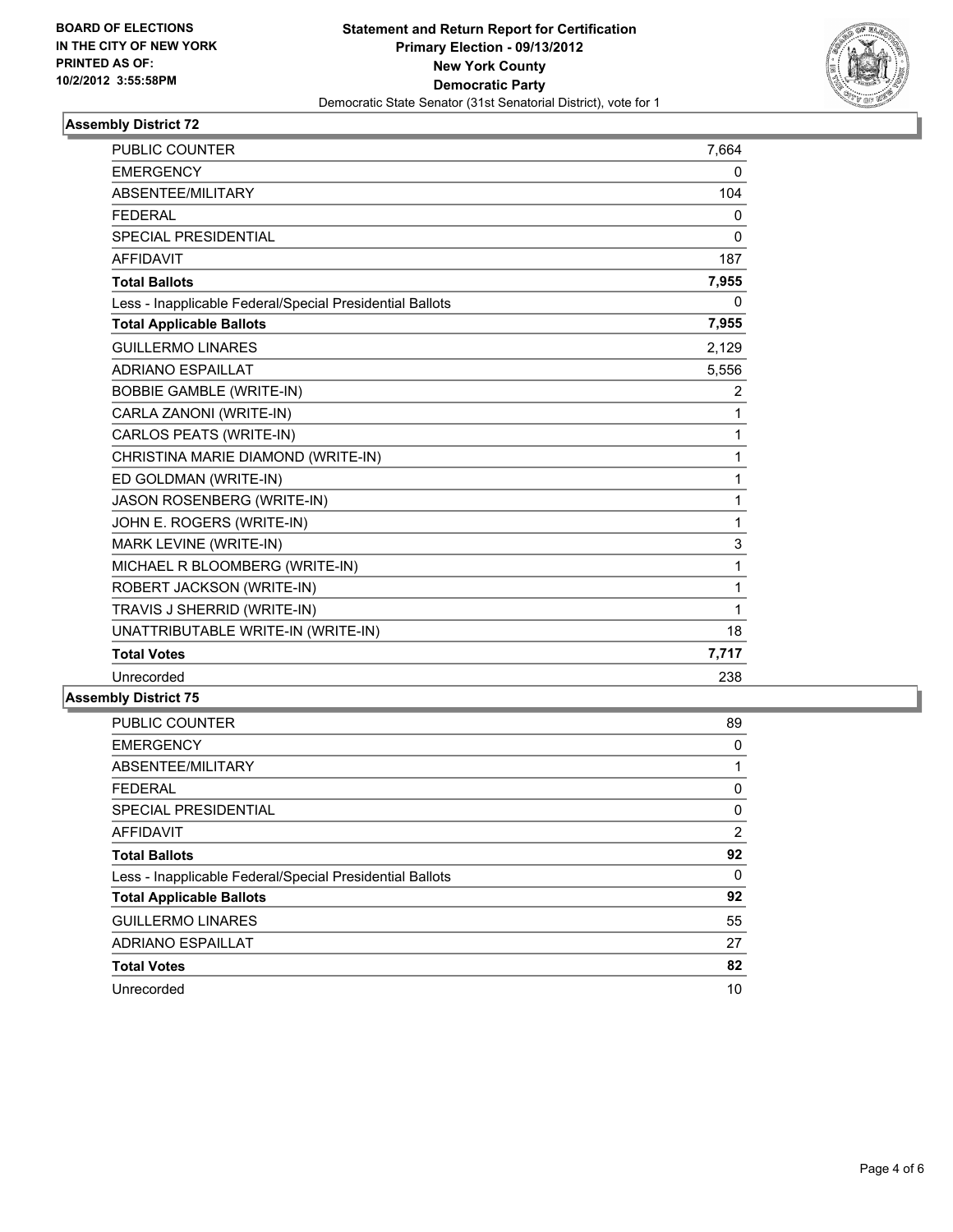

# **Assembly District 72**

| <b>PUBLIC COUNTER</b>                                    | 7,664        |
|----------------------------------------------------------|--------------|
| <b>EMERGENCY</b>                                         | 0            |
| ABSENTEE/MILITARY                                        | 104          |
| <b>FEDERAL</b>                                           | 0            |
| SPECIAL PRESIDENTIAL                                     | 0            |
| <b>AFFIDAVIT</b>                                         | 187          |
| <b>Total Ballots</b>                                     | 7,955        |
| Less - Inapplicable Federal/Special Presidential Ballots | 0            |
| <b>Total Applicable Ballots</b>                          | 7,955        |
| <b>GUILLERMO LINARES</b>                                 | 2,129        |
| <b>ADRIANO ESPAILLAT</b>                                 | 5,556        |
| <b>BOBBIE GAMBLE (WRITE-IN)</b>                          | 2            |
| CARLA ZANONI (WRITE-IN)                                  | 1            |
| CARLOS PEATS (WRITE-IN)                                  | 1            |
| CHRISTINA MARIE DIAMOND (WRITE-IN)                       | 1            |
| ED GOLDMAN (WRITE-IN)                                    | 1            |
| JASON ROSENBERG (WRITE-IN)                               | 1            |
| JOHN E. ROGERS (WRITE-IN)                                | 1            |
| MARK LEVINE (WRITE-IN)                                   | 3            |
| MICHAEL R BLOOMBERG (WRITE-IN)                           | $\mathbf 1$  |
| ROBERT JACKSON (WRITE-IN)                                | $\mathbf{1}$ |
| TRAVIS J SHERRID (WRITE-IN)                              | 1            |
| UNATTRIBUTABLE WRITE-IN (WRITE-IN)                       | 18           |
| <b>Total Votes</b>                                       | 7,717        |
| Unrecorded                                               | 238          |

# **Assembly District 75**

| <b>PUBLIC COUNTER</b>                                    | 89 |
|----------------------------------------------------------|----|
| <b>EMERGENCY</b>                                         | 0  |
| ABSENTEE/MILITARY                                        |    |
| <b>FEDERAL</b>                                           | 0  |
| <b>SPECIAL PRESIDENTIAL</b>                              | 0  |
| <b>AFFIDAVIT</b>                                         | 2  |
| <b>Total Ballots</b>                                     | 92 |
| Less - Inapplicable Federal/Special Presidential Ballots | 0  |
| <b>Total Applicable Ballots</b>                          | 92 |
| <b>GUILLERMO LINARES</b>                                 | 55 |
| <b>ADRIANO ESPAILLAT</b>                                 | 27 |
| <b>Total Votes</b>                                       | 82 |
| Unrecorded                                               | 10 |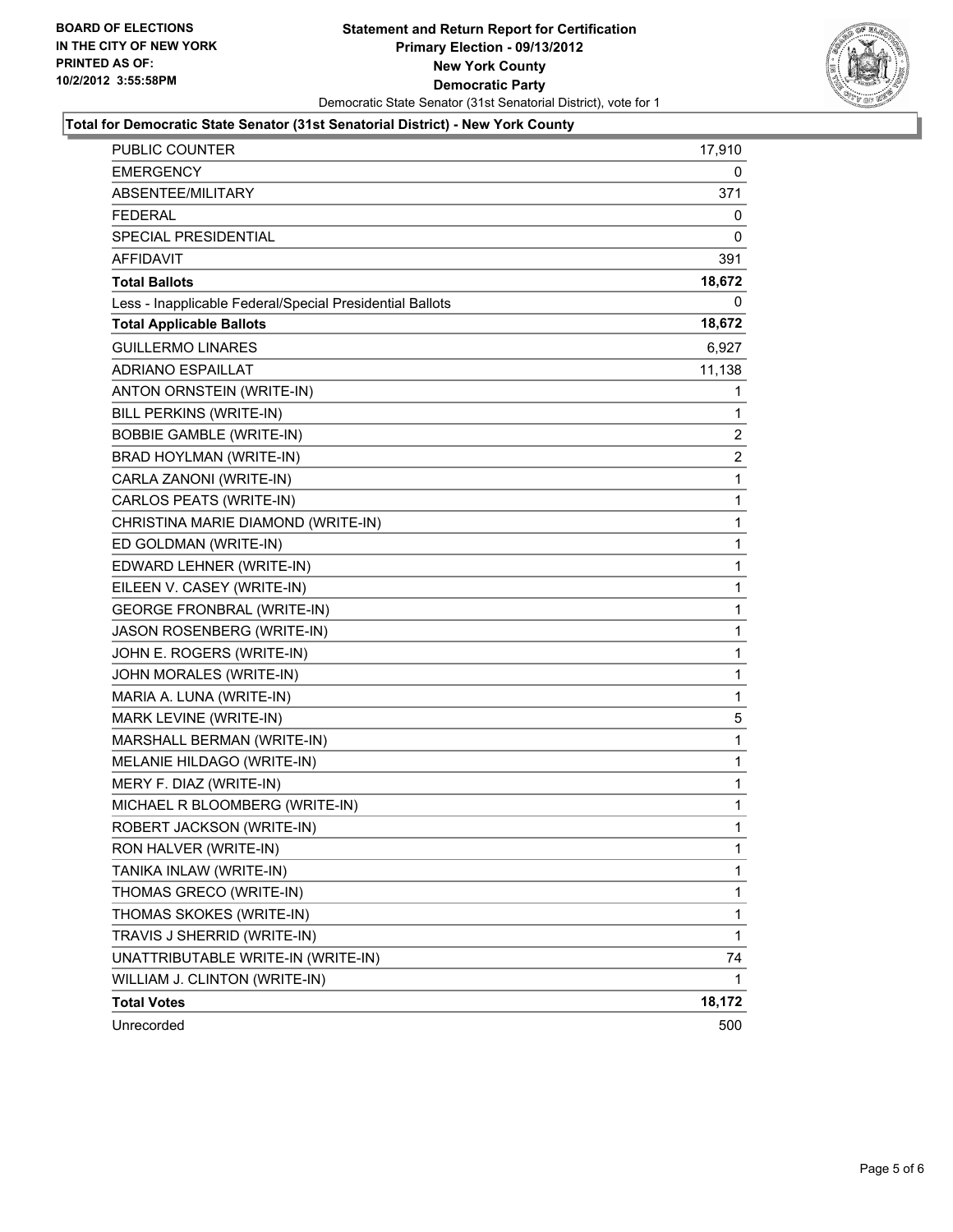

#### **Total for Democratic State Senator (31st Senatorial District) - New York County**

| PUBLIC COUNTER                                           | 17,910         |
|----------------------------------------------------------|----------------|
| <b>EMERGENCY</b>                                         | 0              |
| ABSENTEE/MILITARY                                        | 371            |
| <b>FEDERAL</b>                                           | 0              |
| SPECIAL PRESIDENTIAL                                     | 0              |
| <b>AFFIDAVIT</b>                                         | 391            |
| <b>Total Ballots</b>                                     | 18,672         |
| Less - Inapplicable Federal/Special Presidential Ballots | 0              |
| <b>Total Applicable Ballots</b>                          | 18,672         |
| <b>GUILLERMO LINARES</b>                                 | 6,927          |
| <b>ADRIANO ESPAILLAT</b>                                 | 11,138         |
| ANTON ORNSTEIN (WRITE-IN)                                | 1              |
| BILL PERKINS (WRITE-IN)                                  | 1              |
| <b>BOBBIE GAMBLE (WRITE-IN)</b>                          | $\overline{2}$ |
| BRAD HOYLMAN (WRITE-IN)                                  | $\overline{2}$ |
| CARLA ZANONI (WRITE-IN)                                  | 1              |
| CARLOS PEATS (WRITE-IN)                                  | 1              |
| CHRISTINA MARIE DIAMOND (WRITE-IN)                       | 1              |
| ED GOLDMAN (WRITE-IN)                                    | 1              |
| EDWARD LEHNER (WRITE-IN)                                 | 1              |
| EILEEN V. CASEY (WRITE-IN)                               | $\mathbf{1}$   |
| <b>GEORGE FRONBRAL (WRITE-IN)</b>                        | 1              |
| JASON ROSENBERG (WRITE-IN)                               | 1              |
| JOHN E. ROGERS (WRITE-IN)                                | 1              |
| JOHN MORALES (WRITE-IN)                                  | 1              |
| MARIA A. LUNA (WRITE-IN)                                 | 1              |
| MARK LEVINE (WRITE-IN)                                   | 5              |
| MARSHALL BERMAN (WRITE-IN)                               | 1              |
| MELANIE HILDAGO (WRITE-IN)                               | 1              |
| MERY F. DIAZ (WRITE-IN)                                  | $\mathbf{1}$   |
| MICHAEL R BLOOMBERG (WRITE-IN)                           | 1              |
| ROBERT JACKSON (WRITE-IN)                                | 1              |
| RON HALVER (WRITE-IN)                                    | 1              |
| TANIKA INLAW (WRITE-IN)                                  | 1              |
| THOMAS GRECO (WRITE-IN)                                  | $\mathbf{1}$   |
| THOMAS SKOKES (WRITE-IN)                                 | $\mathbf{1}$   |
| TRAVIS J SHERRID (WRITE-IN)                              | 1              |
| UNATTRIBUTABLE WRITE-IN (WRITE-IN)                       | 74             |
| WILLIAM J. CLINTON (WRITE-IN)                            | 1              |
| <b>Total Votes</b>                                       | 18,172         |
| Unrecorded                                               | 500            |